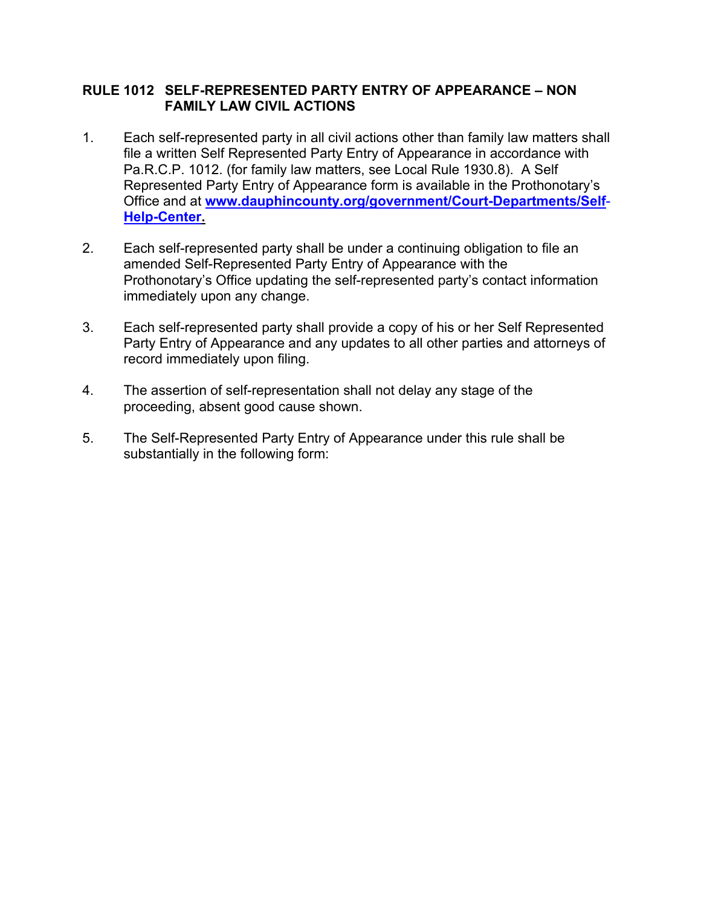## **RULE 1012 SELF-REPRESENTED PARTY ENTRY OF APPEARANCE – NON FAMILY LAW CIVIL ACTIONS**

- 1. Each self-represented party in all civil actions other than family law matters shall file a written Self Represented Party Entry of Appearance in accordance with Pa.R.C.P. 1012. (for family law matters, see Local Rule 1930.8). A Self Represented Party Entry of Appearance form is available in the Prothonotary's Office and at **www.dauphincounty.org/government/Court-Departments/Self**- **Help-Center.**
- 2. Each self-represented party shall be under a continuing obligation to file an amended Self-Represented Party Entry of Appearance with the Prothonotary's Office updating the self-represented party's contact information immediately upon any change.
- 3. Each self-represented party shall provide a copy of his or her Self Represented Party Entry of Appearance and any updates to all other parties and attorneys of record immediately upon filing.
- 4. The assertion of self-representation shall not delay any stage of the proceeding, absent good cause shown.
- 5. The Self-Represented Party Entry of Appearance under this rule shall be substantially in the following form: